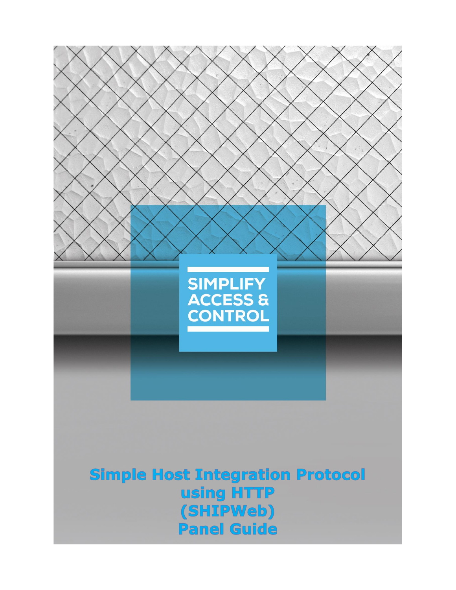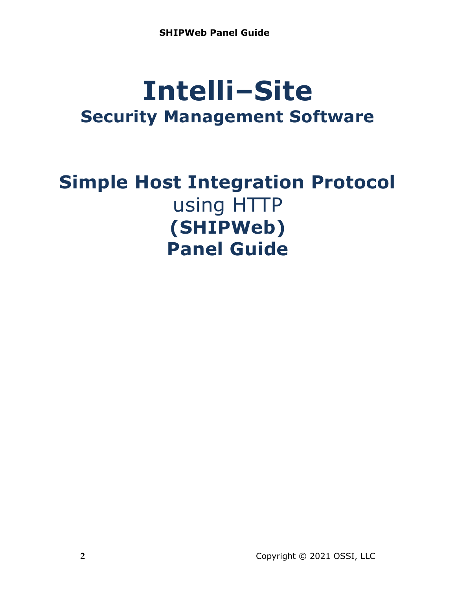# **Intelli‒Site Security Management Software**

# **Simple Host Integration Protocol** using HTTP **(SHIPWeb) Panel Guide**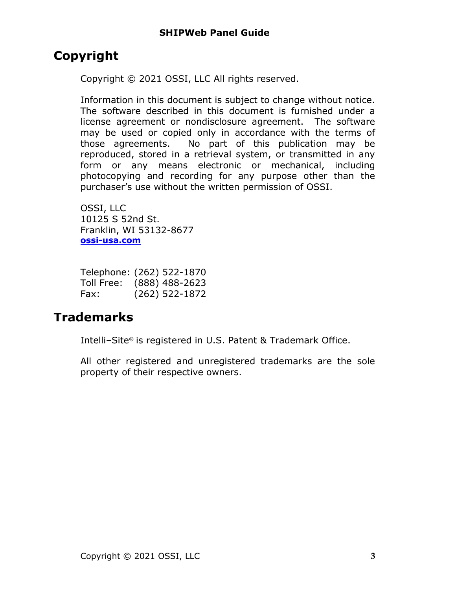# <span id="page-2-0"></span>**Copyright**

Copyright © 2021 OSSI, LLC All rights reserved.

Information in this document is subject to change without notice. The software described in this document is furnished under a license agreement or nondisclosure agreement. The software may be used or copied only in accordance with the terms of those agreements. No part of this publication may be reproduced, stored in a retrieval system, or transmitted in any form or any means electronic or mechanical, including photocopying and recording for any purpose other than the purchaser's use without the written permission of OSSI.

OSSI, LLC 10125 S 52nd St. Franklin, WI 53132-8677 **[ossi-usa.com](http://ossi-usa.com/)**

|            | Telephone: (262) 522-1870 |
|------------|---------------------------|
| Toll Free: | $(888)$ 488-2623          |
| Fax:       | $(262)$ 522-1872          |

# <span id="page-2-1"></span>**Trademarks**

Intelli-Site® is registered in U.S. Patent & Trademark Office.

All other registered and unregistered trademarks are the sole property of their respective owners.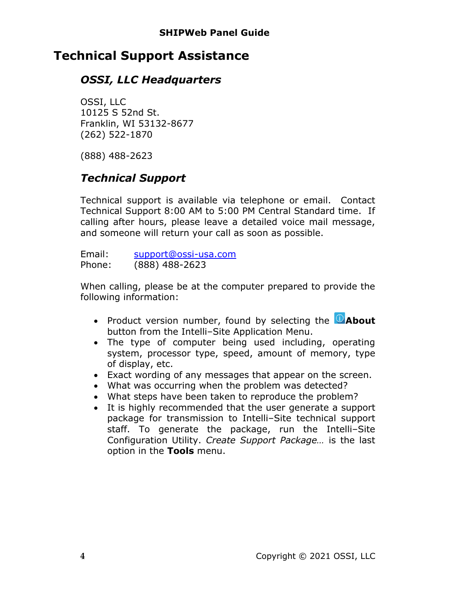# <span id="page-3-0"></span>**Technical Support Assistance**

## *OSSI, LLC Headquarters*

OSSI, LLC 10125 S 52nd St. Franklin, WI 53132-8677 (262) 522-1870

(888) 488-2623

# *Technical Support*

Technical support is available via telephone or email. Contact Technical Support 8:00 AM to 5:00 PM Central Standard time. If calling after hours, please leave a detailed voice mail message, and someone will return your call as soon as possible.

Email: [support@ossi-usa.com](mailto:support@ossi-usa.com) Phone: (888) 488-2623

When calling, please be at the computer prepared to provide the following information:

- Product version number, found by selecting the **CAbout** button from the Intelli-Site Application Menu.
- The type of computer being used including, operating system, processor type, speed, amount of memory, type of display, etc.
- Exact wording of any messages that appear on the screen.
- What was occurring when the problem was detected?
- What steps have been taken to reproduce the problem?
- It is highly recommended that the user generate a support package for transmission to Intelli-Site technical support staff. To generate the package, run the Intelli-Site Configuration Utility. *Create Support Package…* is the last option in the **Tools** menu.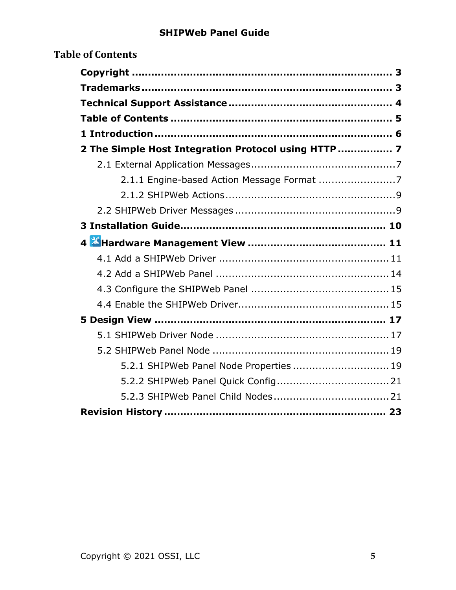<span id="page-4-0"></span>

| <b>Table of Contents</b>                             |  |
|------------------------------------------------------|--|
|                                                      |  |
|                                                      |  |
|                                                      |  |
|                                                      |  |
|                                                      |  |
| 2 The Simple Host Integration Protocol using HTTP  7 |  |
|                                                      |  |
|                                                      |  |
|                                                      |  |
|                                                      |  |
|                                                      |  |
|                                                      |  |
|                                                      |  |
|                                                      |  |
|                                                      |  |
|                                                      |  |
|                                                      |  |
|                                                      |  |
|                                                      |  |
|                                                      |  |
| 5.2.1 SHIPWeb Panel Node Properties  19              |  |
|                                                      |  |
|                                                      |  |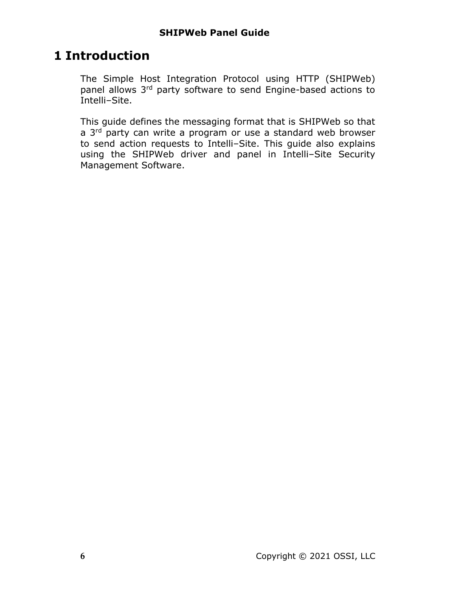# <span id="page-5-0"></span>**1 Introduction**

The Simple Host Integration Protocol using HTTP (SHIPWeb) panel allows 3<sup>rd</sup> party software to send Engine-based actions to Intelli-Site.

This guide defines the messaging format that is SHIPWeb so that a 3<sup>rd</sup> party can write a program or use a standard web browser to send action requests to Intelli-Site. This quide also explains using the SHIPWeb driver and panel in Intelli-Site Security Management Software.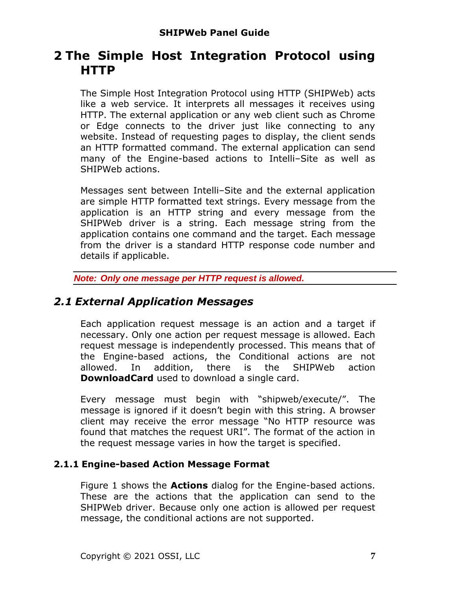# <span id="page-6-0"></span>**2 The Simple Host Integration Protocol using HTTP**

The Simple Host Integration Protocol using HTTP (SHIPWeb) acts like a web service. It interprets all messages it receives using HTTP. The external application or any web client such as Chrome or Edge connects to the driver just like connecting to any website. Instead of requesting pages to display, the client sends an HTTP formatted command. The external application can send many of the Engine-based actions to Intelli-Site as well as SHIPWeb actions.

Messages sent between Intelli-Site and the external application are simple HTTP formatted text strings. Every message from the application is an HTTP string and every message from the SHIPWeb driver is a string. Each message string from the application contains one command and the target. Each message from the driver is a standard HTTP response code number and details if applicable.

*Note: Only one message per HTTP request is allowed.*

## <span id="page-6-1"></span>*2.1 External Application Messages*

Each application request message is an action and a target if necessary. Only one action per request message is allowed. Each request message is independently processed. This means that of the Engine-based actions, the Conditional actions are not allowed. In addition, there is the SHIPWeb action **DownloadCard** used to download a single card.

Every message must begin with "shipweb/execute/". The message is ignored if it doesn't begin with this string. A browser client may receive the error message "No HTTP resource was found that matches the request URI". The format of the action in the request message varies in how the target is specified.

## <span id="page-6-2"></span>**2.1.1 Engine-based Action Message Format**

Figure 1 shows the **Actions** dialog for the Engine-based actions. These are the actions that the application can send to the SHIPWeb driver. Because only one action is allowed per request message, the conditional actions are not supported.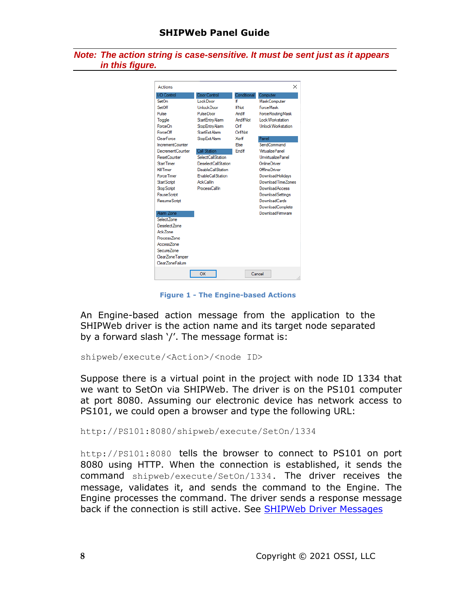*Note: The action string is case-sensitive. It must be sent just as it appears in this figure.*

| I/O Control<br>Set <sub>On</sub> | Door Control<br>Lock Door | Conditional<br>۱f       | Computer                                |
|----------------------------------|---------------------------|-------------------------|-----------------------------------------|
| SetOff                           | <b>UnlockDoor</b>         | <b>If Not</b>           | <b>MaskComputer</b><br><b>ForceMask</b> |
|                                  |                           |                         |                                         |
| Pulse                            | <b>PulseDoor</b>          | Andlf                   | <b>ForceRoutingMask</b>                 |
| Toggle                           | Start Entry Alarm         | AndifNot                | Lock Workstation                        |
| ForceOn                          | Stop Entry Alarm          | Orlf                    | <b>Unlock Workstation</b>               |
| ForceOff                         | Start Exit Alarm          | OrlfNot                 |                                         |
| ClearForce                       | Stop Exit Alarm           | Xorlf                   | Panel                                   |
| IncrementCounter                 |                           | Fise                    | SendCommand                             |
| DecrementCounter                 | <b>Call Station</b>       | <b>Fnd</b> <sup>F</sup> | <b>Virtualize Panel</b>                 |
| ResetCounter                     | SelectCallStation         |                         | UnvirtualizePanel                       |
| <b>Start Timer</b>               | DeselectCallStation       |                         | OnlineDriver                            |
| <b>Kill Timer</b>                | DisableCallStation        |                         | OfflineDriver                           |
| <b>Force Timer</b>               | <b>EnableCallStation</b>  |                         | DownloadHolidavs                        |
| <b>Start Script</b>              | <b>AckCallIn</b>          |                         | Download Time Zones                     |
| <b>Stop Script</b>               | <b>ProcessCallIn</b>      |                         | <b>DownloadAccess</b>                   |
| Pause Script                     |                           |                         | <b>DownloadSettings</b>                 |
| <b>ResumeScript</b>              |                           |                         | DownloadCards                           |
|                                  |                           |                         | DownloadComplete                        |
| Alam Zone                        |                           |                         | DownloadFirmware                        |
| Select Zone                      |                           |                         |                                         |
| Deselect Zone                    |                           |                         |                                         |
| Ack7one                          |                           |                         |                                         |
| Process7one                      |                           |                         |                                         |
| Access7one                       |                           |                         |                                         |
| SecureZone                       |                           |                         |                                         |
| ClearZoneTamper                  |                           |                         |                                         |
| ClearZoneFailure                 |                           |                         |                                         |
|                                  | OK                        | Cancel                  |                                         |

**Figure 1 - The Engine-based Actions**

An Engine-based action message from the application to the SHIPWeb driver is the action name and its target node separated by a forward slash '/'. The message format is:

shipweb/execute/<Action>/<node ID>

Suppose there is a virtual point in the project with node ID 1334 that we want to SetOn via SHIPWeb. The driver is on the PS101 computer at port 8080. Assuming our electronic device has network access to PS101, we could open a browser and type the following URL:

http://PS101:8080/shipweb/execute/SetOn/1334

http://PS101:8080 tells the browser to connect to PS101 on port 8080 using HTTP. When the connection is established, it sends the command shipweb/execute/SetOn/1334. The driver receives the message, validates it, and sends the command to the Engine. The Engine processes the command. The driver sends a response message back if the connection is still active. See [SHIPWeb Driver Messages](#page-8-2)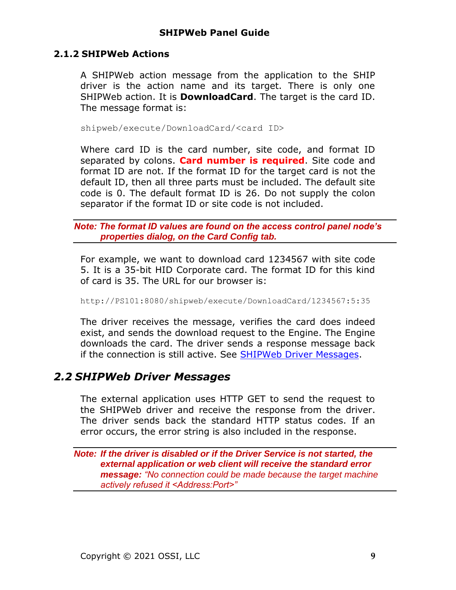#### **2.1.2 SHIPWeb Actions**

<span id="page-8-0"></span>A SHIPWeb action message from the application to the SHIP driver is the action name and its target. There is only one SHIPWeb action. It is **DownloadCard**. The target is the card ID. The message format is:

shipweb/execute/DownloadCard/<card ID>

Where card ID is the card number, site code, and format ID separated by colons. **Card number is required**. Site code and format ID are not. If the format ID for the target card is not the default ID, then all three parts must be included. The default site code is 0. The default format ID is 26. Do not supply the colon separator if the format ID or site code is not included.

*Note: The format ID values are found on the access control panel node's properties dialog, on the Card Config tab.*

For example, we want to download card 1234567 with site code 5. It is a 35-bit HID Corporate card. The format ID for this kind of card is 35. The URL for our browser is:

#### http://PS101:8080/shipweb/execute/DownloadCard/1234567:5:35

The driver receives the message, verifies the card does indeed exist, and sends the download request to the Engine. The Engine downloads the card. The driver sends a response message back if the connection is still active. See [SHIPWeb Driver Messages.](#page-8-2)

## <span id="page-8-2"></span><span id="page-8-1"></span>*2.2 SHIPWeb Driver Messages*

The external application uses HTTP GET to send the request to the SHIPWeb driver and receive the response from the driver. The driver sends back the standard HTTP status codes. If an error occurs, the error string is also included in the response.

*Note: If the driver is disabled or if the Driver Service is not started, the external application or web client will receive the standard error message: "No connection could be made because the target machine actively refused it <Address:Port>"*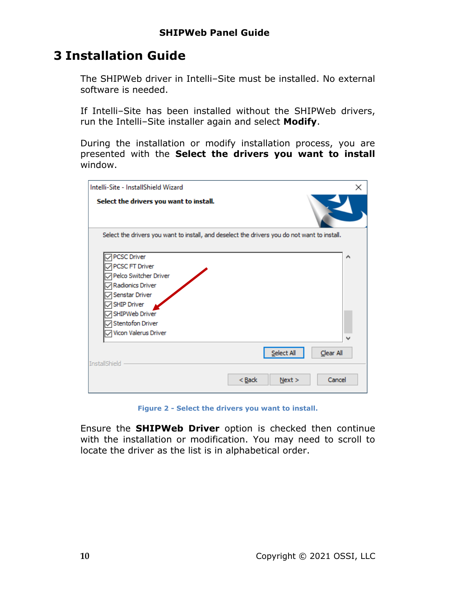# <span id="page-9-0"></span>**3 Installation Guide**

The SHIPWeb driver in Intelli-Site must be installed. No external software is needed.

If Intelli-Site has been installed without the SHIPWeb drivers, run the Intelli-Site installer again and select Modify.

During the installation or modify installation process, you are presented with the **Select the drivers you want to install** window.

| Intelli-Site - InstallShield Wizard                                                                                                                                                            | × |
|------------------------------------------------------------------------------------------------------------------------------------------------------------------------------------------------|---|
| Select the drivers you want to install.                                                                                                                                                        |   |
| Select the drivers you want to install, and deselect the drivers you do not want to install.                                                                                                   |   |
| <b>PCSC Driver</b><br>PCSC FT Driver<br>Pelco Switcher Driver<br>Radionics Driver<br>Senstar Driver<br><b>SHIP Driver</b><br>SHIPWeb Driver<br><b>Stentofon Driver</b><br>Vicon Valerus Driver | ۸ |
| Select All<br>Clear All<br><b>InstallShield</b>                                                                                                                                                |   |
| $Back$<br>Cancel<br>Next >                                                                                                                                                                     |   |

**Figure 2 - Select the drivers you want to install.**

Ensure the **SHIPWeb Driver** option is checked then continue with the installation or modification. You may need to scroll to locate the driver as the list is in alphabetical order.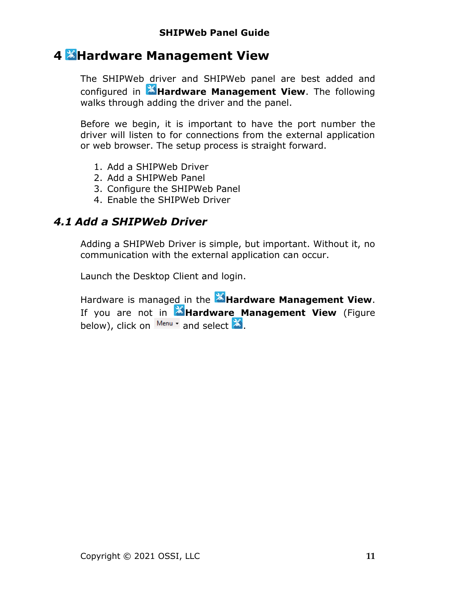# <span id="page-10-0"></span>**4 Hardware Management View**

The SHIPWeb driver and SHIPWeb panel are best added and configured in **Hardware Management View**. The following walks through adding the driver and the panel.

Before we begin, it is important to have the port number the driver will listen to for connections from the external application or web browser. The setup process is straight forward.

- 1. Add a SHIPWeb Driver
- 2. Add a SHIPWeb Panel
- 3. Configure the SHIPWeb Panel
- 4. Enable the SHIPWeb Driver

## <span id="page-10-1"></span>*4.1 Add a SHIPWeb Driver*

Adding a SHIPWeb Driver is simple, but important. Without it, no communication with the external application can occur.

Launch the Desktop Client and login.

Hardware is managed in the **AHardware Management View**. If you are not in **MHardware Management View** (Figure below), click on  $\frac{M_{\text{enu}}}{M_{\text{enu}}}$  and select  $\mathbb{X}$ .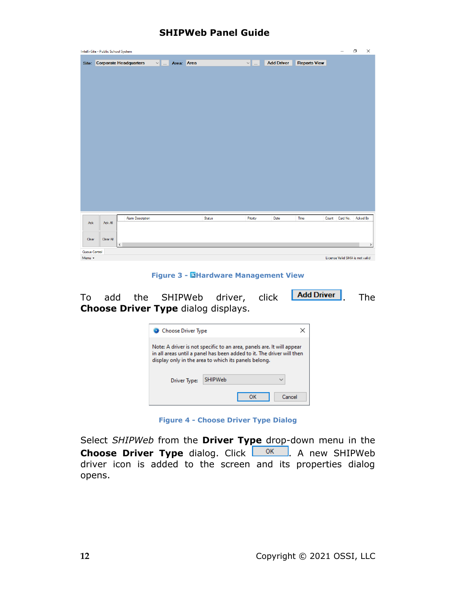|               | Intelli-Site - Public School System |                              |               |        |               |                   |                     |       |                                | $\Box$   | $\times$ |
|---------------|-------------------------------------|------------------------------|---------------|--------|---------------|-------------------|---------------------|-------|--------------------------------|----------|----------|
|               |                                     | Site: Corporate Headquarters | v  Area: Area |        | $\vee$ $\Box$ | <b>Add Driver</b> | <b>Reports View</b> |       |                                |          |          |
|               |                                     |                              |               |        |               |                   |                     |       |                                |          |          |
|               |                                     |                              |               |        |               |                   |                     |       |                                |          |          |
|               |                                     |                              |               |        |               |                   |                     |       |                                |          |          |
|               |                                     |                              |               |        |               |                   |                     |       |                                |          |          |
|               |                                     |                              |               |        |               |                   |                     |       |                                |          |          |
|               |                                     |                              |               |        |               |                   |                     |       |                                |          |          |
|               |                                     |                              |               |        |               |                   |                     |       |                                |          |          |
|               |                                     |                              |               |        |               |                   |                     |       |                                |          |          |
|               |                                     |                              |               |        |               |                   |                     |       |                                |          |          |
|               |                                     |                              |               |        |               |                   |                     |       |                                |          |          |
|               |                                     |                              |               |        |               |                   |                     |       |                                |          |          |
|               |                                     |                              |               |        |               |                   |                     |       |                                |          |          |
|               |                                     |                              |               |        |               |                   |                     |       |                                |          |          |
|               |                                     |                              |               |        |               |                   |                     |       |                                |          |          |
|               |                                     |                              |               |        |               |                   |                     |       |                                |          |          |
|               |                                     |                              |               |        |               |                   |                     |       |                                |          |          |
|               |                                     |                              |               |        |               |                   |                     |       |                                |          |          |
|               |                                     |                              |               |        |               |                   |                     |       |                                |          |          |
| Ack           | Ack All                             | <b>Alam Description</b>      |               | Status | Priority      | Date              | Time                | Count | Card No.                       | Acked By |          |
|               |                                     |                              |               |        |               |                   |                     |       |                                |          |          |
| Clear         | Clear All                           |                              |               |        |               |                   |                     |       |                                |          |          |
|               |                                     | $\checkmark$                 |               |        |               |                   |                     |       |                                |          | $\,$     |
| Queue Control |                                     |                              |               |        |               |                   |                     |       |                                |          |          |
| Menu -        |                                     |                              |               |        |               |                   |                     |       | License Valid SMA is not valid |          |          |

**Figure 3 - Hardware Management View**

To add the SHIPWeb driver, click **Add Driver**, The **Choose Driver Type** dialog displays.

| Choose Driver Type                                                                                                                                                                                     |                                |  |  |  |  |
|--------------------------------------------------------------------------------------------------------------------------------------------------------------------------------------------------------|--------------------------------|--|--|--|--|
| Note: A driver is not specific to an area, panels are. It will appear<br>in all areas until a panel has been added to it. The driver will then<br>display only in the area to which its panels belong. |                                |  |  |  |  |
| Driver Type:                                                                                                                                                                                           | <b>SHIPWeb</b><br>$\checkmark$ |  |  |  |  |
|                                                                                                                                                                                                        | Cancel<br>ΩK                   |  |  |  |  |

**Figure 4 - Choose Driver Type Dialog**

Select *SHIPWeb* from the **Driver Type** drop-down menu in the **Choose Driver Type** dialog. Click **A** new SHIPWeb driver icon is added to the screen and its properties dialog opens.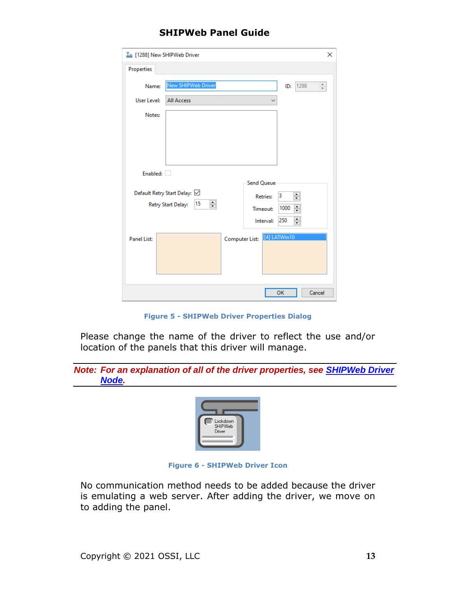|                    | I [1288] New SHIPWeb Driver                                    | ×                |
|--------------------|----------------------------------------------------------------|------------------|
| Properties         |                                                                |                  |
| Name:              | New SHIPWeb Driver<br>1288<br>ID:                              | $\frac{1}{\tau}$ |
| User Level:        | All Access                                                     |                  |
| Notes:             |                                                                |                  |
|                    | Enabled:                                                       |                  |
|                    | Send Queue                                                     |                  |
|                    | Default Retry Start Delay: ☑<br>$\div$<br>3<br><b>Retries:</b> |                  |
|                    | 췌<br>15<br>Retry Start Delay:<br>$\div$<br>1000<br>Timeout:    |                  |
|                    | $\div$<br>250<br>Interval:                                     |                  |
| <b>Panel List:</b> | Computer List: [4] LATWin10                                    |                  |
|                    | OK                                                             | Cancel           |

**Figure 5 - SHIPWeb Driver Properties Dialog**

Please change the name of the driver to reflect the use and/or location of the panels that this driver will manage.

|       | Note: For an explanation of all of the driver properties, see <b>SHIPWeb Driver</b> |  |  |  |
|-------|-------------------------------------------------------------------------------------|--|--|--|
| Node. |                                                                                     |  |  |  |



**Figure 6 - SHIPWeb Driver Icon**

No communication method needs to be added because the driver is emulating a web server. After adding the driver, we move on to adding the panel.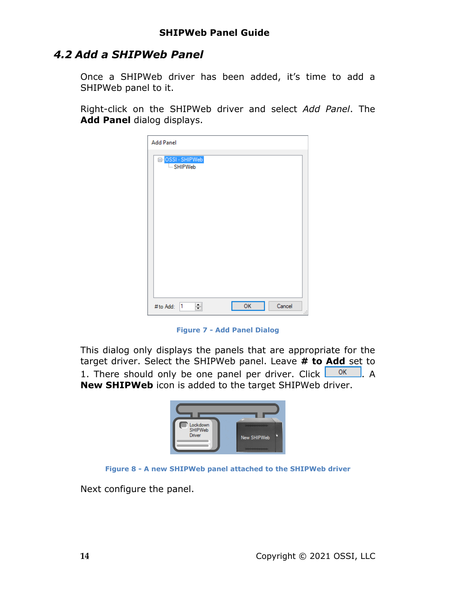## <span id="page-13-0"></span>*4.2 Add a SHIPWeb Panel*

Once a SHIPWeb driver has been added, it's time to add a SHIPWeb panel to it.

Right-click on the SHIPWeb driver and select *Add Panel*. The **Add Panel** dialog displays.

| <b>Add Panel</b>                          |                     |
|-------------------------------------------|---------------------|
| <mark>⊟∘</mark> OSSI - SHIPWeb<br>SHIPWeb |                     |
|                                           |                     |
|                                           |                     |
|                                           |                     |
|                                           |                     |
|                                           |                     |
| 싂<br> 1<br># to Add:                      | OK<br>Cancel<br>пĒ. |

**Figure 7 - Add Panel Dialog**

This dialog only displays the panels that are appropriate for the target driver. Select the SHIPWeb panel. Leave **# to Add** set to 1. There should only be one panel per driver. Click  $\overline{OR}$ . A **New SHIPWeb** icon is added to the target SHIPWeb driver.





Next configure the panel.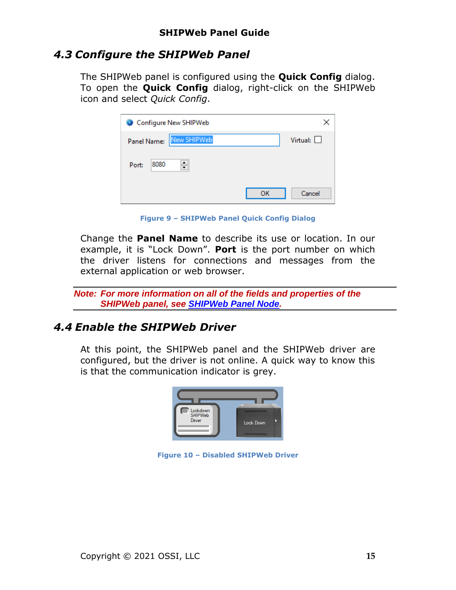## <span id="page-14-0"></span>*4.3 Configure the SHIPWeb Panel*

The SHIPWeb panel is configured using the **Quick Config** dialog. To open the **Quick Config** dialog, right-click on the SHIPWeb icon and select *Quick Config*.

| Configure New SHIPWeb      |              |
|----------------------------|--------------|
| New SHIPWeb<br>Panel Name: | Virtual:     |
| ÷<br>8080<br>Port:         |              |
|                            | OК<br>Cancel |

**Figure 9 – SHIPWeb Panel Quick Config Dialog**

Change the **Panel Name** to describe its use or location. In our example, it is "Lock Down". **Port** is the port number on which the driver listens for connections and messages from the external application or web browser.

*Note: For more information on all of the fields and properties of the SHIPWeb panel, see SHIPWeb [Panel Node.](#page-18-2)*

## <span id="page-14-1"></span>*4.4 Enable the SHIPWeb Driver*

At this point, the SHIPWeb panel and the SHIPWeb driver are configured, but the driver is not online. A quick way to know this is that the communication indicator is grey.



**Figure 10 – Disabled SHIPWeb Driver**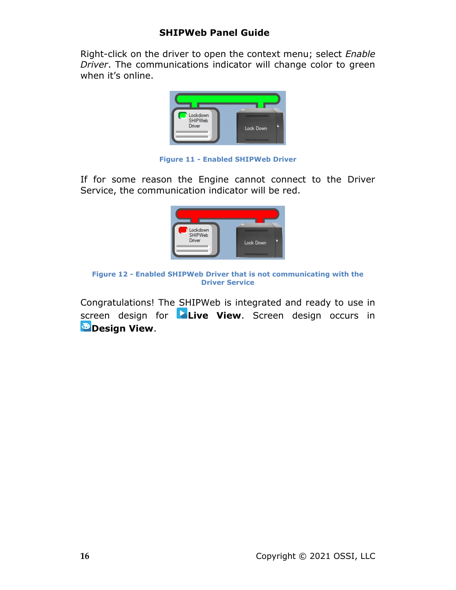Right-click on the driver to open the context menu; select *Enable Driver*. The communications indicator will change color to green when it's online.



**Figure 11 - Enabled SHIPWeb Driver**

If for some reason the Engine cannot connect to the Driver Service, the communication indicator will be red.



**Figure 12 - Enabled SHIPWeb Driver that is not communicating with the Driver Service**

Congratulations! The SHIPWeb is integrated and ready to use in screen design for **Live View**. Screen design occurs in *Design View.*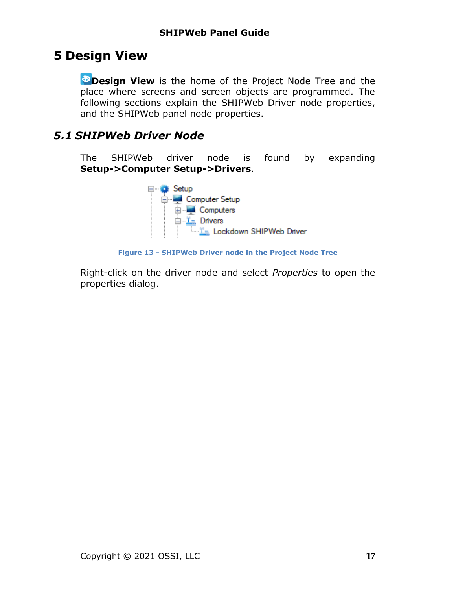# <span id="page-16-0"></span>**5 Design View**

**Design View** is the home of the Project Node Tree and the place where screens and screen objects are programmed. The following sections explain the SHIPWeb Driver node properties, and the SHIPWeb panel node properties.

## <span id="page-16-2"></span><span id="page-16-1"></span>*5.1 SHIPWeb Driver Node*

The SHIPWeb driver node is found by expanding **Setup->Computer Setup->Drivers**.



**Figure 13 - SHIPWeb Driver node in the Project Node Tree**

Right-click on the driver node and select *Properties* to open the properties dialog.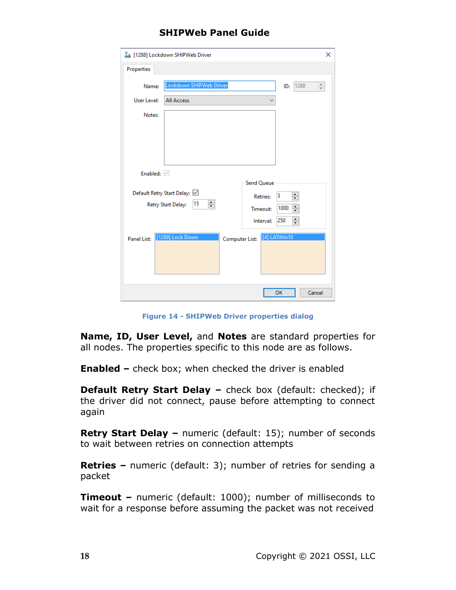| I [1288] Lockdown SHIPWeb Driver       | ×                              |
|----------------------------------------|--------------------------------|
| Properties                             |                                |
| Lockdown SHIPWeb Driver<br>Name:       | 1288<br>÷<br>ID:               |
| User Level:<br><b>All Access</b>       |                                |
| Notes:                                 |                                |
|                                        |                                |
|                                        |                                |
|                                        |                                |
| Enabled: $\vee$                        |                                |
|                                        | <b>Send Queue</b>              |
| Default Retry Start Delay: ☑           | $\div$<br>3<br><b>Retries:</b> |
| ÷<br>15<br>Retry Start Delay:          | $\div$<br>1000<br>Timeout:     |
|                                        | $\div$<br>250<br>Interval:     |
| [1289] Lock Down<br><b>Panel List:</b> | [4] LATWin10<br>Computer List: |
|                                        |                                |
|                                        |                                |
|                                        |                                |
|                                        | OK<br>Cancel                   |

**Figure 14 - SHIPWeb Driver properties dialog**

**Name, ID, User Level,** and **Notes** are standard properties for all nodes. The properties specific to this node are as follows.

**Enabled –** check box; when checked the driver is enabled

**Default Retry Start Delay –** check box (default: checked); if the driver did not connect, pause before attempting to connect again

**Retry Start Delay –** numeric (default: 15); number of seconds to wait between retries on connection attempts

**Retries –** numeric (default: 3); number of retries for sending a packet

**Timeout –** numeric (default: 1000); number of milliseconds to wait for a response before assuming the packet was not received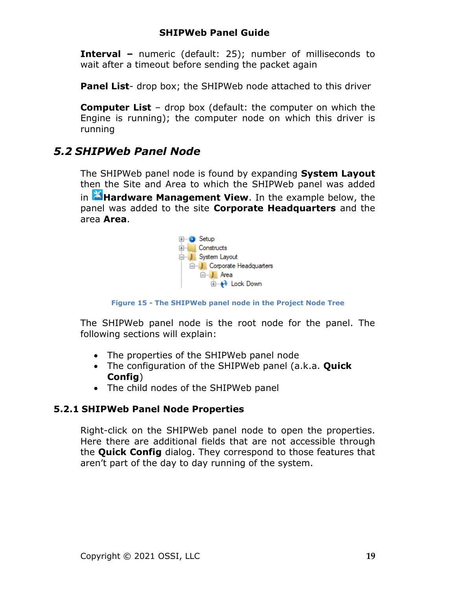**Interval –** numeric (default: 25); number of milliseconds to wait after a timeout before sending the packet again

**Panel List-** drop box; the SHIPWeb node attached to this driver

**Computer List** – drop box (default: the computer on which the Engine is running); the computer node on which this driver is running

## <span id="page-18-2"></span><span id="page-18-0"></span>*5.2 SHIPWeb Panel Node*

The SHIPWeb panel node is found by expanding **System Layout** then the Site and Area to which the SHIPWeb panel was added in **Hardware Management View**. In the example below, the panel was added to the site **Corporate Headquarters** and the area **Area**.



**Figure 15 - The SHIPWeb panel node in the Project Node Tree**

The SHIPWeb panel node is the root node for the panel. The following sections will explain:

- The properties of the SHIPWeb panel node
- The configuration of the SHIPWeb panel (a.k.a. **Quick Config**)
- The child nodes of the SHIPWeb panel

#### **5.2.1 SHIPWeb Panel Node Properties**

<span id="page-18-1"></span>Right-click on the SHIPWeb panel node to open the properties. Here there are additional fields that are not accessible through the **Quick Config** dialog. They correspond to those features that aren't part of the day to day running of the system.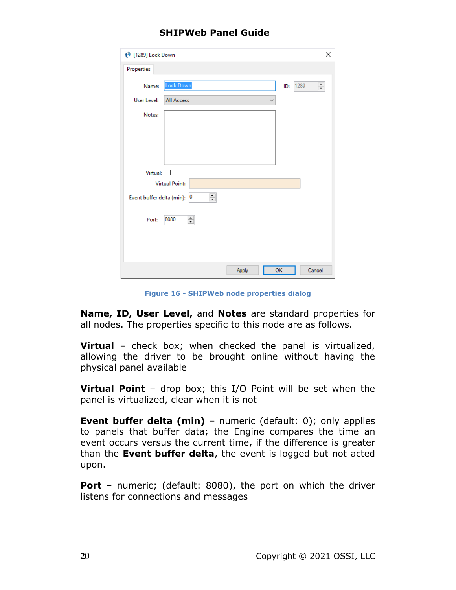| <b>♦</b> [1289] Lock Down   |                                   | ×               |
|-----------------------------|-----------------------------------|-----------------|
| Properties                  |                                   |                 |
| Name:                       | <b>Lock Down</b><br>1289<br>ID:   | $\frac{1}{\pi}$ |
| <b>User Level:</b>          | <b>All Access</b><br>$\checkmark$ |                 |
| Notes:                      |                                   |                 |
|                             |                                   |                 |
|                             |                                   |                 |
|                             |                                   |                 |
| Virtual: $\square$          |                                   |                 |
|                             | <b>Virtual Point:</b>             |                 |
| Event buffer delta (min): 0 | ÷                                 |                 |
| Port:                       | ÷<br>8080                         |                 |
|                             |                                   |                 |
|                             |                                   |                 |
|                             |                                   |                 |
|                             | OK<br>Cancel<br>Apply             |                 |

**Figure 16 - SHIPWeb node properties dialog**

**Name, ID, User Level,** and **Notes** are standard properties for all nodes. The properties specific to this node are as follows.

**Virtual** – check box; when checked the panel is virtualized, allowing the driver to be brought online without having the physical panel available

**Virtual Point** – drop box; this I/O Point will be set when the panel is virtualized, clear when it is not

**Event buffer delta (min)** - numeric (default: 0); only applies to panels that buffer data; the Engine compares the time an event occurs versus the current time, if the difference is greater than the **Event buffer delta**, the event is logged but not acted upon.

**Port** – numeric; (default: 8080), the port on which the driver listens for connections and messages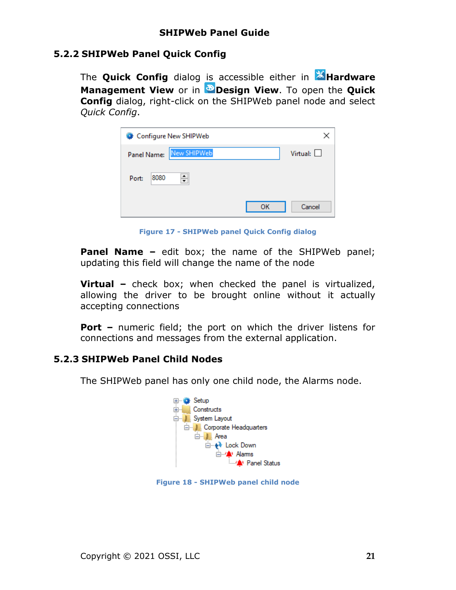#### **5.2.2 SHIPWeb Panel Quick Config**

<span id="page-20-0"></span>The **Quick Config** dialog is accessible either in **AHardware Management View** or in **Design View**. To open the **Quick Config** dialog, right-click on the SHIPWeb panel node and select *Quick Config*.

| Configure New SHIPWeb      |              |
|----------------------------|--------------|
| New SHIPWeb<br>Panel Name: | Virtual:     |
| ÷<br>8080<br>Port:         |              |
|                            | OK<br>Cancel |

**Figure 17 - SHIPWeb panel Quick Config dialog**

**Panel Name –** edit box; the name of the SHIPWeb panel; updating this field will change the name of the node

**Virtual –** check box; when checked the panel is virtualized, allowing the driver to be brought online without it actually accepting connections

**Port –** numeric field; the port on which the driver listens for connections and messages from the external application.

#### **5.2.3 SHIPWeb Panel Child Nodes**

<span id="page-20-1"></span>The SHIPWeb panel has only one child node, the Alarms node.



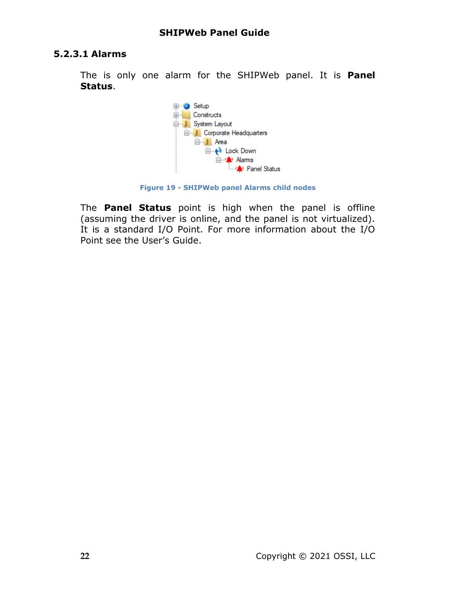#### **5.2.3.1 Alarms**

The is only one alarm for the SHIPWeb panel. It is **Panel Status**.



**Figure 19 - SHIPWeb panel Alarms child nodes**

The **Panel Status** point is high when the panel is offline (assuming the driver is online, and the panel is not virtualized). It is a standard I/O Point. For more information about the I/O Point see the User's Guide.